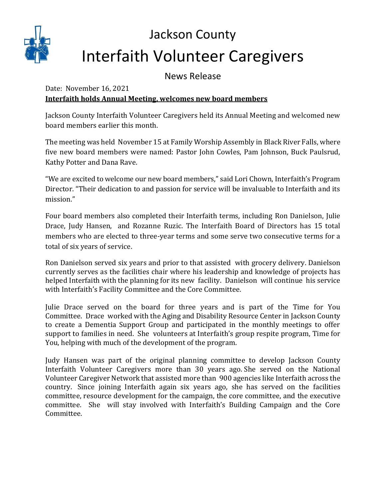

## Jackson County Interfaith Volunteer Caregivers

News Release

## Date: November 16, 2021 **Interfaith holds Annual Meeting, welcomes new board members**

Jackson County Interfaith Volunteer Caregivers held its Annual Meeting and welcomed new board members earlier this month.

The meeting was held November 15 at Family Worship Assembly in Black River Falls, where five new board members were named: Pastor John Cowles, Pam Johnson, Buck Paulsrud, Kathy Potter and Dana Rave.

"We are excited to welcome our new board members," said Lori Chown, Interfaith's Program Director. "Their dedication to and passion for service will be invaluable to Interfaith and its mission."

Four board members also completed their Interfaith terms, including Ron Danielson, Julie Drace, Judy Hansen, and Rozanne Ruzic. The Interfaith Board of Directors has 15 total members who are elected to three-year terms and some serve two consecutive terms for a total of six years of service.

Ron Danielson served six years and prior to that assisted with grocery delivery. Danielson currently serves as the facilities chair where his leadership and knowledge of projects has helped Interfaith with the planning for its new facility. Danielson will continue his service with Interfaith's Facility Committee and the Core Committee.

Julie Drace served on the board for three years and is part of the Time for You Committee. Drace worked with the Aging and Disability Resource Center in Jackson County to create a Dementia Support Group and participated in the monthly meetings to offer support to families in need. She volunteers at Interfaith's group respite program, Time for You, helping with much of the development of the program.

Judy Hansen was part of the original planning committee to develop Jackson County Interfaith Volunteer Caregivers more than 30 years ago. She served on the National Volunteer Caregiver Network that assisted more than 900 agencies like Interfaith across the country. Since joining Interfaith again six years ago, she has served on the facilities committee, resource development for the campaign, the core committee, and the executive committee. She will stay involved with Interfaith's Building Campaign and the Core Committee.